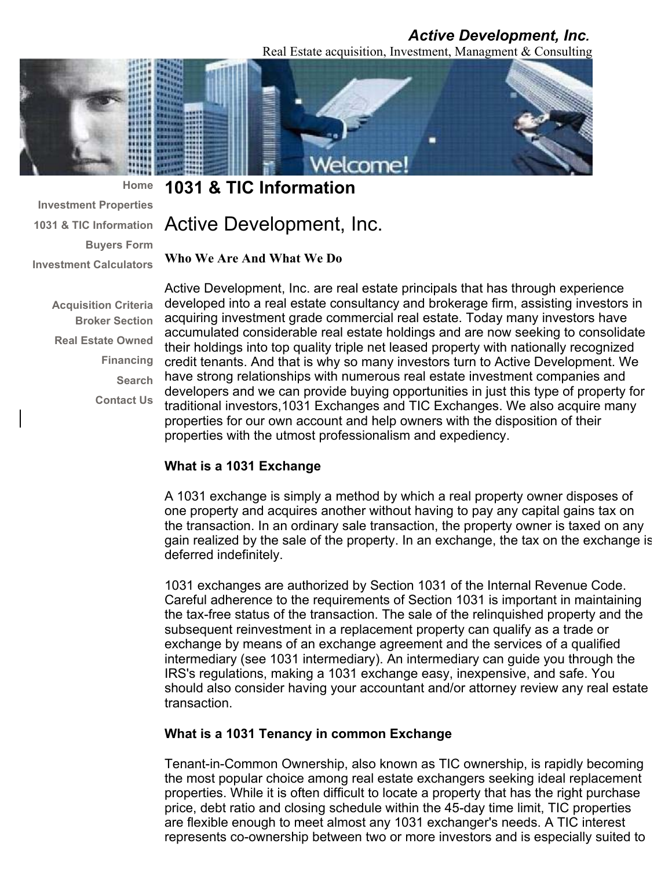## *Active Development, Inc.*

Real Estate acquisition, Investment, Managment & Consulting



**1031 & TIC Information** 

Active Development, Inc.

**Who We Are And What We Do** 

**Acquisition Criteria Broker Section Real Estate Owned Financing Contact Us** 

**Investment Properties 1031 & TIC Information** 

**Investment Calculators** 

**Home** 

**Buyers Form** 

**Search**  have strong relationships with numerous real estate investment companies and Active Development, Inc. are real estate principals that has through experience developed into a real estate consultancy and brokerage firm, assisting investors in acquiring investment grade commercial real estate. Today many investors have accumulated considerable real estate holdings and are now seeking to consolidate their holdings into top quality triple net leased property with nationally recognized credit tenants. And that is why so many investors turn to Active Development. We developers and we can provide buying opportunities in just this type of property for traditional investors,1031 Exchanges and TIC Exchanges. We also acquire many properties for our own account and help owners with the disposition of their properties with the utmost professionalism and expediency.

## **What is a 1031 Exchange**

A 1031 exchange is simply a method by which a real property owner disposes of one property and acquires another without having to pay any capital gains tax on the transaction. In an ordinary sale transaction, the property owner is taxed on any gain realized by the sale of the property. In an exchange, the tax on the exchange is deferred indefinitely.

1031 exchanges are authorized by Section 1031 of the Internal Revenue Code. Careful adherence to the requirements of Section 1031 is important in maintaining the tax-free status of the transaction. The sale of the relinquished property and the subsequent reinvestment in a replacement property can qualify as a trade or exchange by means of an exchange agreement and the services of a qualified intermediary (see 1031 intermediary). An intermediary can guide you through the IRS's regulations, making a 1031 exchange easy, inexpensive, and safe. You should also consider having your accountant and/or attorney review any real estate transaction.

## **What is a 1031 Tenancy in common Exchange**

Tenant-in-Common Ownership, also known as TIC ownership, is rapidly becoming the most popular choice among real estate exchangers seeking ideal replacement properties. While it is often difficult to locate a property that has the right purchase price, debt ratio and closing schedule within the 45-day time limit, TIC properties are flexible enough to meet almost any 1031 exchanger's needs. A TIC interest represents co-ownership between two or more investors and is especially suited to